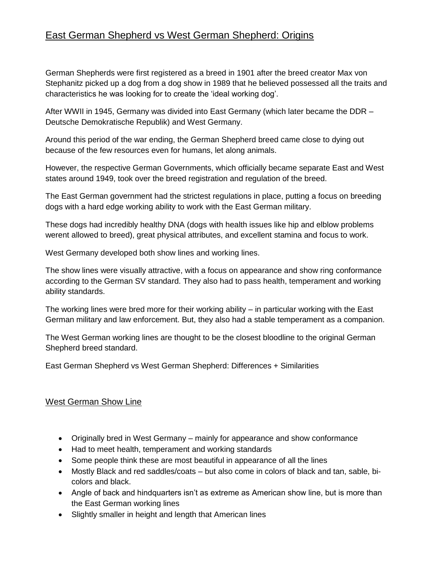## East German Shepherd vs West German Shepherd: Origins

German Shepherds were first registered as a breed in 1901 after the breed creator Max von Stephanitz picked up a dog from a dog show in 1989 that he believed possessed all the traits and characteristics he was looking for to create the 'ideal working dog'.

After WWII in 1945, Germany was divided into East Germany (which later became the DDR – Deutsche Demokratische Republik) and West Germany.

Around this period of the war ending, the German Shepherd breed came close to dying out because of the few resources even for humans, let along animals.

However, the respective German Governments, which officially became separate East and West states around 1949, took over the breed registration and regulation of the breed.

The East German government had the strictest regulations in place, putting a focus on breeding dogs with a hard edge working ability to work with the East German military.

These dogs had incredibly healthy DNA (dogs with health issues like hip and elblow problems werent allowed to breed), great physical attributes, and excellent stamina and focus to work.

West Germany developed both show lines and working lines.

The show lines were visually attractive, with a focus on appearance and show ring conformance according to the German SV standard. They also had to pass health, temperament and working ability standards.

The working lines were bred more for their working ability – in particular working with the East German military and law enforcement. But, they also had a stable temperament as a companion.

The West German working lines are thought to be the closest bloodline to the original German Shepherd breed standard.

East German Shepherd vs West German Shepherd: Differences + Similarities

## West German Show Line

- Originally bred in West Germany mainly for appearance and show conformance
- Had to meet health, temperament and working standards
- Some people think these are most beautiful in appearance of all the lines
- Mostly Black and red saddles/coats but also come in colors of black and tan, sable, bicolors and black.
- Angle of back and hindquarters isn't as extreme as American show line, but is more than the East German working lines
- Slightly smaller in height and length that American lines